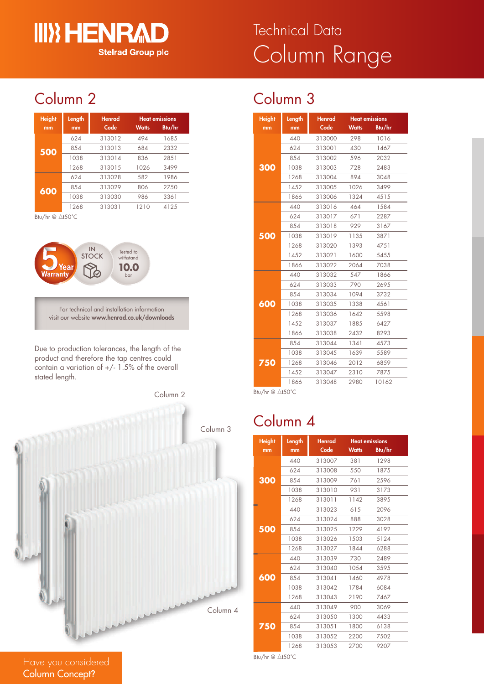## **III) HENRA Stelrad Group plc**

# Column Range Technical Data

## Column 2

| <b>Height</b><br>mm | Length<br>mm | Henrad<br>Code | <b>Watts</b> | <b>Heat emissions</b><br>Btu/hr |
|---------------------|--------------|----------------|--------------|---------------------------------|
| 500                 | 624          | 313012         | 494          | 1685                            |
|                     | 854          | 313013         | 684          | 2332                            |
|                     | 1038         | 313014         | 836          | 2851                            |
|                     | 1268         | 313015         | 1026         | 3499                            |
| 600                 | 624          | 313028         | 582          | 1986                            |
|                     | 854          | 313029         | 806          | 2750                            |
|                     | 1038         | 313030         | 986          | 3361                            |
|                     | 1268         | 313031         | 1210         | 4125                            |

Btu/hr  $@ \triangle$ t50°C



For technical and installation information visit our website **www.henrad.co.uk/downloads**

Due to production tolerances, the length of the product and therefore the tap centres could contain a variation of  $+/- 1.5\%$  of the overall stated length.



| Column 3 |  |
|----------|--|
|          |  |

| <b>Height</b> | Length | Henrad | <b>Heat emissions</b> |        |
|---------------|--------|--------|-----------------------|--------|
| mm            | mm     | Code   | <b>Watts</b>          | Btu/hr |
|               | 440    | 313000 | 298                   | 1016   |
|               | 624    | 313001 | 430                   | 1467   |
|               | 854    | 313002 | 596                   | 2032   |
| 300           | 1038   | 313003 | 728                   | 2483   |
|               | 1268   | 313004 | 894                   | 3048   |
|               | 1452   | 313005 | 1026                  | 3499   |
|               | 1866   | 313006 | 1324                  | 4515   |
|               | 440    | 313016 | 464                   | 1584   |
|               | 624    | 313017 | 671                   | 2287   |
|               | 854    | 313018 | 929                   | 3167   |
| 500           | 1038   | 313019 | 1135                  | 3871   |
|               | 1268   | 313020 | 1393                  | 4751   |
|               | 1452   | 313021 | 1600                  | 5455   |
|               | 1866   | 313022 | 2064                  | 7038   |
|               | 440    | 313032 | 547                   | 1866   |
|               | 624    | 313033 | 790                   | 2695   |
|               | 854    | 313034 | 1094                  | 3732   |
| 600           | 1038   | 313035 | 1338                  | 4561   |
|               | 1268   | 313036 | 1642                  | 5598   |
|               | 1452   | 313037 | 1885                  | 6427   |
|               | 1866   | 313038 | 2432                  | 8293   |
|               | 854    | 313044 | 1341                  | 4573   |
|               | 1038   | 313045 | 1639                  | 5589   |
| 750           | 1268   | 313046 | 2012                  | 6859   |
|               | 1452   | 313047 | 2310                  | 7875   |
|               | 1866   | 313048 | 2980                  | 10162  |

Btu/hr @ ∆t50°C

### Column 4

| <b>Height</b> | Length | <b>Henrad</b> |              | <b>Heat emissions</b> |
|---------------|--------|---------------|--------------|-----------------------|
| mm            | mm     | Code          | <b>Watts</b> | Btu/hr                |
| 300           | 440    | 313007        | 381          | 1298                  |
|               | 624    | 313008        | 550          | 1875                  |
|               | 854    | 313009        | 761          | 2596                  |
|               | 1038   | 313010        | 931          | 3173                  |
|               | 1268   | 313011        | 1142         | 3895                  |
| 500           | 440    | 313023        | 615          | 2096                  |
|               | 624    | 313024        | 888          | 3028                  |
|               | 854    | 313025        | 1229         | 4192                  |
|               | 1038   | 313026        | 1503         | 5124                  |
|               | 1268   | 313027        | 1844         | 6288                  |
| 600           | 440    | 313039        | 730          | 2489                  |
|               | 624    | 313040        | 1054         | 3595                  |
|               | 854    | 313041        | 1460         | 4978                  |
|               | 1038   | 313042        | 1784         | 6084                  |
|               | 1268   | 313043        | 2190         | 7467                  |
| 750           | 440    | 313049        | 900          | 3069                  |
|               | 624    | 313050        | 1300         | 4433                  |
|               | 854    | 313051        | 1800         | 6138                  |
|               | 1038   | 313052        | 2200         | 7502                  |
|               | 1268   | 313053        | 2700         | 9207                  |

Btu/hr  $@$   $\triangle$ t50°C

Have you considered Column Concept**?**